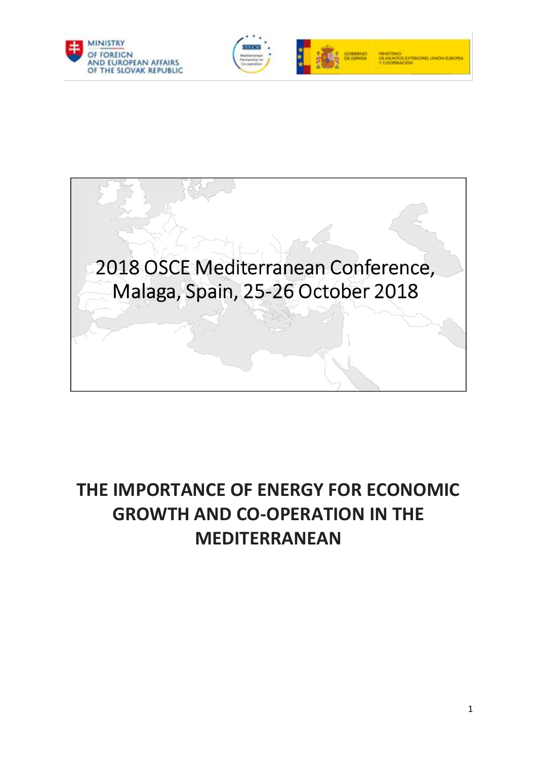





# **THE IMPORTANCE OF ENERGY FOR ECONOMIC GROWTH AND CO-OPERATION IN THE MEDITERRANEAN**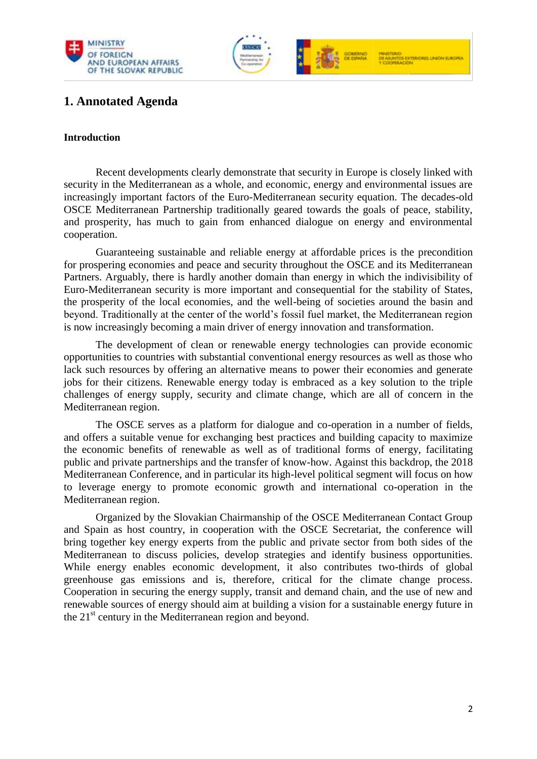



# **1. Annotated Agenda**

#### **Introduction**

Recent developments clearly demonstrate that security in Europe is closely linked with security in the Mediterranean as a whole, and economic, energy and environmental issues are increasingly important factors of the Euro-Mediterranean security equation. The decades-old OSCE Mediterranean Partnership traditionally geared towards the goals of peace, stability, and prosperity, has much to gain from enhanced dialogue on energy and environmental cooperation.

 Guaranteeing sustainable and reliable energy at affordable prices is the precondition for prospering economies and peace and security throughout the OSCE and its Mediterranean Partners. Arguably, there is hardly another domain than energy in which the indivisibility of Euro-Mediterranean security is more important and consequential for the stability of States, the prosperity of the local economies, and the well-being of societies around the basin and beyond. Traditionally at the center of the world's fossil fuel market, the Mediterranean region is now increasingly becoming a main driver of energy innovation and transformation.

The development of clean or renewable energy technologies can provide economic opportunities to countries with substantial conventional energy resources as well as those who lack such resources by offering an alternative means to power their economies and generate jobs for their citizens. Renewable energy today is embraced as a key solution to the triple challenges of energy supply, security and climate change, which are all of concern in the Mediterranean region.

The OSCE serves as a platform for dialogue and co-operation in a number of fields, and offers a suitable venue for exchanging best practices and building capacity to maximize the economic benefits of renewable as well as of traditional forms of energy, facilitating public and private partnerships and the transfer of know-how. Against this backdrop, the 2018 Mediterranean Conference, and in particular its high-level political segment will focus on how to leverage energy to promote economic growth and international co-operation in the Mediterranean region.

Organized by the Slovakian Chairmanship of the OSCE Mediterranean Contact Group and Spain as host country, in cooperation with the OSCE Secretariat, the conference will bring together key energy experts from the public and private sector from both sides of the Mediterranean to discuss policies, develop strategies and identify business opportunities. While energy enables economic development, it also contributes two-thirds of global greenhouse gas emissions and is, therefore, critical for the climate change process. Cooperation in securing the energy supply, transit and demand chain, and the use of new and renewable sources of energy should aim at building a vision for a sustainable energy future in the  $21<sup>st</sup>$  century in the Mediterranean region and beyond.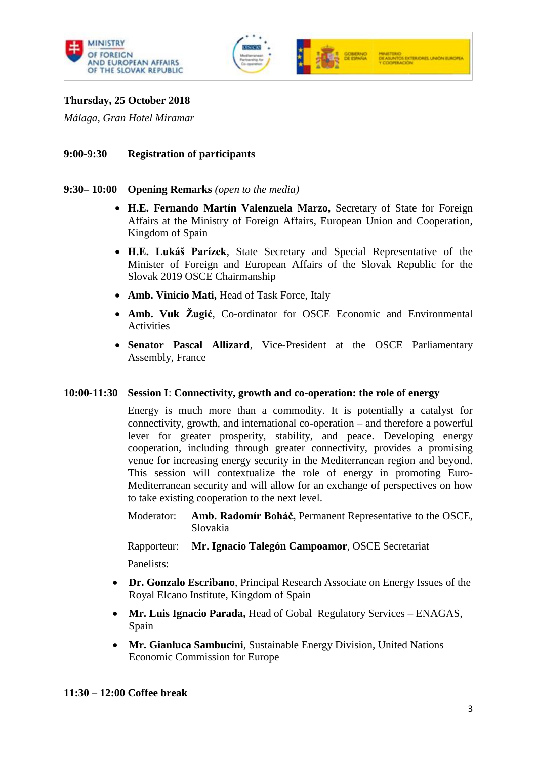



# **Thursday, 25 October 2018**

*Málaga, Gran Hotel Miramar* 

#### **9:00-9:30 Registration of participants**

#### **9:30– 10:00 Opening Remarks** *(open to the media)*

- **H.E. Fernando Martín Valenzuela Marzo,** Secretary of State for Foreign Affairs at the Ministry of Foreign Affairs, European Union and Cooperation, Kingdom of Spain
- **H.E. Lukáš Parízek**, State Secretary and Special Representative of the Minister of Foreign and European Affairs of the Slovak Republic for the Slovak 2019 OSCE Chairmanship
- **Amb. Vinicio Mati,** Head of Task Force, Italy
- **Amb. Vuk Žugić**, Co-ordinator for OSCE Economic and Environmental Activities
- **Senator Pascal Allizard**, Vice-President at the OSCE Parliamentary Assembly, France

#### **10:00-11:30 Session I**: **Connectivity, growth and co-operation: the role of energy**

Energy is much more than a commodity. It is potentially a catalyst for connectivity, growth, and international co-operation – and therefore a powerful lever for greater prosperity, stability, and peace. Developing energy cooperation, including through greater connectivity, provides a promising venue for increasing energy security in the Mediterranean region and beyond. This session will contextualize the role of energy in promoting Euro-Mediterranean security and will allow for an exchange of perspectives on how to take existing cooperation to the next level.

Moderator: **Amb. Radomír Boháč,** Permanent Representative to the OSCE, Slovakia

Rapporteur: **Mr. Ignacio Talegón Campoamor**, OSCE Secretariat

Panelists:

- **Dr. Gonzalo Escribano**, Principal Research Associate on Energy Issues of the Royal Elcano Institute, Kingdom of Spain
- **Mr. Luis Ignacio Parada,** Head of Gobal Regulatory Services ENAGAS, Spain
- **Mr. Gianluca Sambucini**, Sustainable Energy Division, United Nations Economic Commission for Europe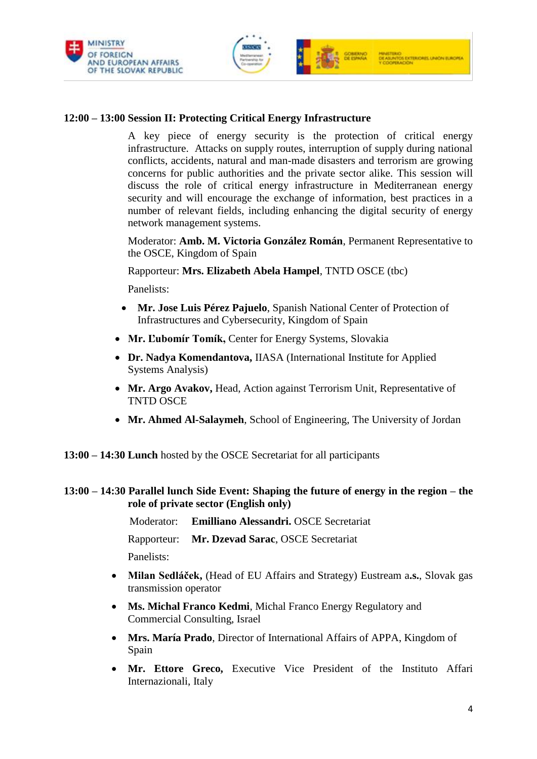



# **12:00 – 13:00 Session II: Protecting Critical Energy Infrastructure**

A key piece of energy security is the protection of critical energy infrastructure. Attacks on supply routes, interruption of supply during national conflicts, accidents, natural and man-made disasters and terrorism are growing concerns for public authorities and the private sector alike. This session will discuss the role of critical energy infrastructure in Mediterranean energy security and will encourage the exchange of information, best practices in a number of relevant fields, including enhancing the digital security of energy network management systems.

Moderator: **Amb. M. Victoria González Román**, Permanent Representative to the OSCE, Kingdom of Spain

Rapporteur: **Mrs. Elizabeth Abela Hampel**, TNTD OSCE (tbc)

Panelists:

- **Mr. Jose Luis Pérez Pajuelo**, Spanish National Center of Protection of Infrastructures and Cybersecurity, Kingdom of Spain
- **Mr. Ľubomír Tomík,** Center for Energy Systems, Slovakia
- **Dr. Nadya Komendantova,** IIASA (International Institute for Applied Systems Analysis)
- **Mr. Argo Avakov,** Head, Action against Terrorism Unit, Representative of TNTD OSCE
- **Mr. Ahmed Al-Salaymeh**, School of Engineering, The University of Jordan
- **13:00 – 14:30 Lunch** hosted by the OSCE Secretariat for all participants

# **13:00 – 14:30 Parallel lunch Side Event: Shaping the future of energy in the region – the role of private sector (English only)**

Moderator: **Emilliano Alessandri.** OSCE Secretariat

Rapporteur: **Mr. Dzevad Sarac**, OSCE Secretariat Panelists:

- **Milan Sedláček,** (Head of EU Affairs and Strategy) Eustream a**.s.**, Slovak gas transmission operator
- **Ms. Michal Franco Kedmi**, Michal Franco Energy Regulatory and Commercial Consulting, Israel
- **Mrs. María Prado**, Director of International Affairs of APPA, Kingdom of Spain
- **Mr. Ettore Greco,** Executive Vice President of the Instituto Affari Internazionali, Italy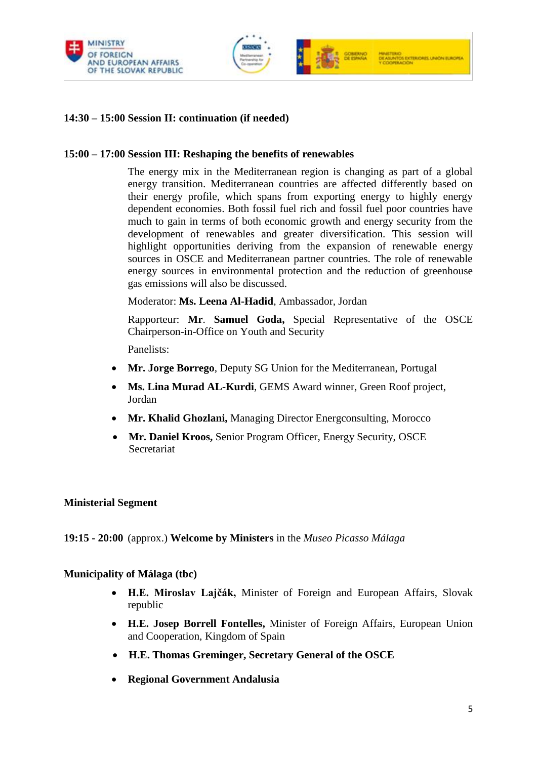



# **14:30 – 15:00 Session II: continuation (if needed)**

#### **15:00 – 17:00 Session III: Reshaping the benefits of renewables**

The energy mix in the Mediterranean region is changing as part of a global energy transition. Mediterranean countries are affected differently based on their energy profile, which spans from exporting energy to highly energy dependent economies. Both fossil fuel rich and fossil fuel poor countries have much to gain in terms of both economic growth and energy security from the development of renewables and greater diversification. This session will highlight opportunities deriving from the expansion of renewable energy sources in OSCE and Mediterranean partner countries. The role of renewable energy sources in environmental protection and the reduction of greenhouse gas emissions will also be discussed.

Moderator: **Ms. Leena Al-Hadid**, Ambassador, Jordan

Rapporteur: **Mr**. **Samuel Goda,** Special Representative of the OSCE Chairperson-in-Office on Youth and Security

Panelists:

- **Mr. Jorge Borrego**, Deputy SG Union for the Mediterranean, Portugal
- **Ms. Lina Murad AL-Kurdi**, GEMS Award winner, Green Roof project, Jordan
- **Mr. Khalid Ghozlani,** Managing Director Energconsulting, Morocco
- **Mr. Daniel Kroos,** Senior Program Officer, Energy Security, OSCE Secretariat

#### **Ministerial Segment**

**19:15 - 20:00** (approx.) **Welcome by Ministers** in the *Museo Picasso Málaga*

#### **Municipality of Málaga (tbc)**

- **H.E. Miroslav Lajčák,** Minister of Foreign and European Affairs, Slovak republic
- **H.E. Josep Borrell Fontelles,** Minister of Foreign Affairs, European Union and Cooperation, Kingdom of Spain
- **H.E. Thomas Greminger, Secretary General of the OSCE**
- **Regional Government Andalusia**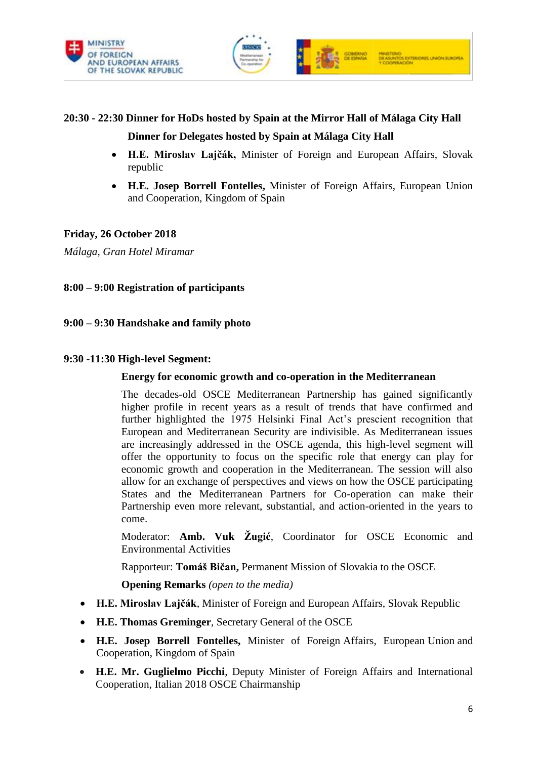



# **20:30 - 22:30 Dinner for HoDs hosted by Spain at the Mirror Hall of Málaga City Hall Dinner for Delegates hosted by Spain at Málaga City Hall**

- **H.E. Miroslav Lajčák,** Minister of Foreign and European Affairs, Slovak republic
- **H.E. Josep Borrell Fontelles,** Minister of Foreign Affairs, European Union and Cooperation, Kingdom of Spain

# **Friday, 26 October 2018**

*Málaga, Gran Hotel Miramar*

# **8:00 – 9:00 Registration of participants**

# **9:00 – 9:30 Handshake and family photo**

# **9:30 -11:30 High-level Segment:**

### **Energy for economic growth and co-operation in the Mediterranean**

The decades-old OSCE Mediterranean Partnership has gained significantly higher profile in recent years as a result of trends that have confirmed and further highlighted the 1975 Helsinki Final Act's prescient recognition that European and Mediterranean Security are indivisible. As Mediterranean issues are increasingly addressed in the OSCE agenda, this high-level segment will offer the opportunity to focus on the specific role that energy can play for economic growth and cooperation in the Mediterranean. The session will also allow for an exchange of perspectives and views on how the OSCE participating States and the Mediterranean Partners for Co-operation can make their Partnership even more relevant, substantial, and action-oriented in the years to come.

Moderator: **Amb. Vuk Žugić**, Coordinator for OSCE Economic and Environmental Activities

Rapporteur: **Tomáš Bičan,** Permanent Mission of Slovakia to the OSCE

**Opening Remarks** *(open to the media)* 

- **H.E. Miroslav Lajčák**, Minister of Foreign and European Affairs, Slovak Republic
- **H.E. Thomas Greminger**, Secretary General of the OSCE
- **H.E. Josep Borrell Fontelles,** Minister of Foreign Affairs, European Union and Cooperation, Kingdom of Spain
- **H.E. Mr. Guglielmo Picchi**, Deputy Minister of Foreign Affairs and International Cooperation, Italian 2018 OSCE Chairmanship